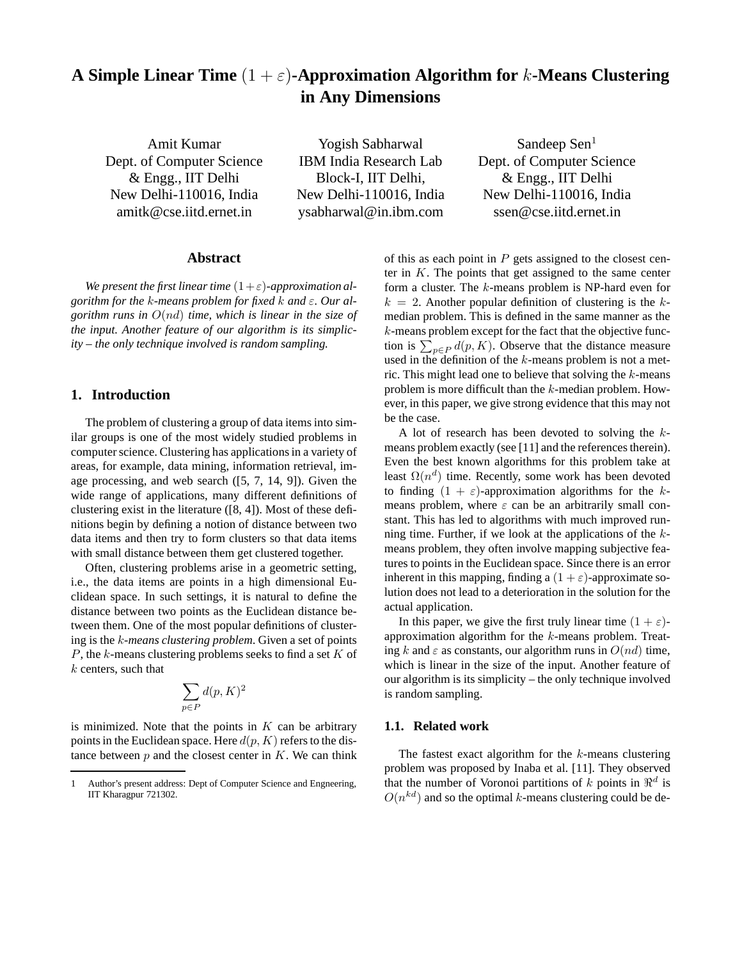# **A Simple Linear Time** (1 + ε)**-Approximation Algorithm for** k**-Means Clustering in Any Dimensions**

Amit Kumar Dept. of Computer Science & Engg., IIT Delhi New Delhi-110016, India amitk@cse.iitd.ernet.in

Yogish Sabharwal IBM India Research Lab Block-I, IIT Delhi, New Delhi-110016, India ysabharwal@in.ibm.com

Sandeep Sen<sup>1</sup> Dept. of Computer Science & Engg., IIT Delhi New Delhi-110016, India ssen@cse.iitd.ernet.in

# **Abstract**

*We present the first linear time*  $(1+\varepsilon)$ -*approximation algorithm for the* k*-means problem for fixed* k *and* ε*. Our algorithm runs in* O(nd) *time, which is linear in the size of the input. Another feature of our algorithm is its simplicity – the only technique involved is random sampling.*

### **1. Introduction**

The problem of clustering a group of data items into similar groups is one of the most widely studied problems in computer science. Clustering has applications in a variety of areas, for example, data mining, information retrieval, image processing, and web search ([5, 7, 14, 9]). Given the wide range of applications, many different definitions of clustering exist in the literature ([8, 4]). Most of these definitions begin by defining a notion of distance between two data items and then try to form clusters so that data items with small distance between them get clustered together.

Often, clustering problems arise in a geometric setting, i.e., the data items are points in a high dimensional Euclidean space. In such settings, it is natural to define the distance between two points as the Euclidean distance between them. One of the most popular definitions of clustering is the k*-means clustering problem*. Given a set of points  $P$ , the k-means clustering problems seeks to find a set  $K$  of  $k$  centers, such that

$$
\sum_{p\in P}d(p,K)^2
$$

is minimized. Note that the points in  $K$  can be arbitrary points in the Euclidean space. Here  $d(p, K)$  refers to the distance between  $p$  and the closest center in  $K$ . We can think of this as each point in  $P$  gets assigned to the closest center in  $K$ . The points that get assigned to the same center form a cluster. The k-means problem is NP-hard even for  $k = 2$ . Another popular definition of clustering is the kmedian problem. This is defined in the same manner as the k-means problem except for the fact that the objective function is  $\sum_{p \in P} d(p, K)$ . Observe that the distance measure used in the definition of the  $k$ -means problem is not a metric. This might lead one to believe that solving the  $k$ -means problem is more difficult than the k-median problem. However, in this paper, we give strong evidence that this may not be the case.

A lot of research has been devoted to solving the kmeans problem exactly (see  $[11]$  and the references therein). Even the best known algorithms for this problem take at least  $\Omega(n^d)$  time. Recently, some work has been devoted to finding  $(1 + \varepsilon)$ -approximation algorithms for the kmeans problem, where  $\varepsilon$  can be an arbitrarily small constant. This has led to algorithms with much improved running time. Further, if we look at the applications of the  $k$ means problem, they often involve mapping subjective features to points in the Euclidean space. Since there is an error inherent in this mapping, finding a  $(1 + \varepsilon)$ -approximate solution does not lead to a deterioration in the solution for the actual application.

In this paper, we give the first truly linear time  $(1 + \varepsilon)$ approximation algorithm for the k-means problem. Treating k and  $\varepsilon$  as constants, our algorithm runs in  $O(nd)$  time, which is linear in the size of the input. Another feature of our algorithm is its simplicity – the only technique involved is random sampling.

### **1.1. Related work**

The fastest exact algorithm for the  $k$ -means clustering problem was proposed by Inaba et al. [11]. They observed that the number of Voronoi partitions of k points in  $\mathbb{R}^d$  is  $O(n^{kd})$  and so the optimal k-means clustering could be de-

<sup>1</sup> Author's present address: Dept of Computer Science and Engneering, IIT Kharagpur 721302.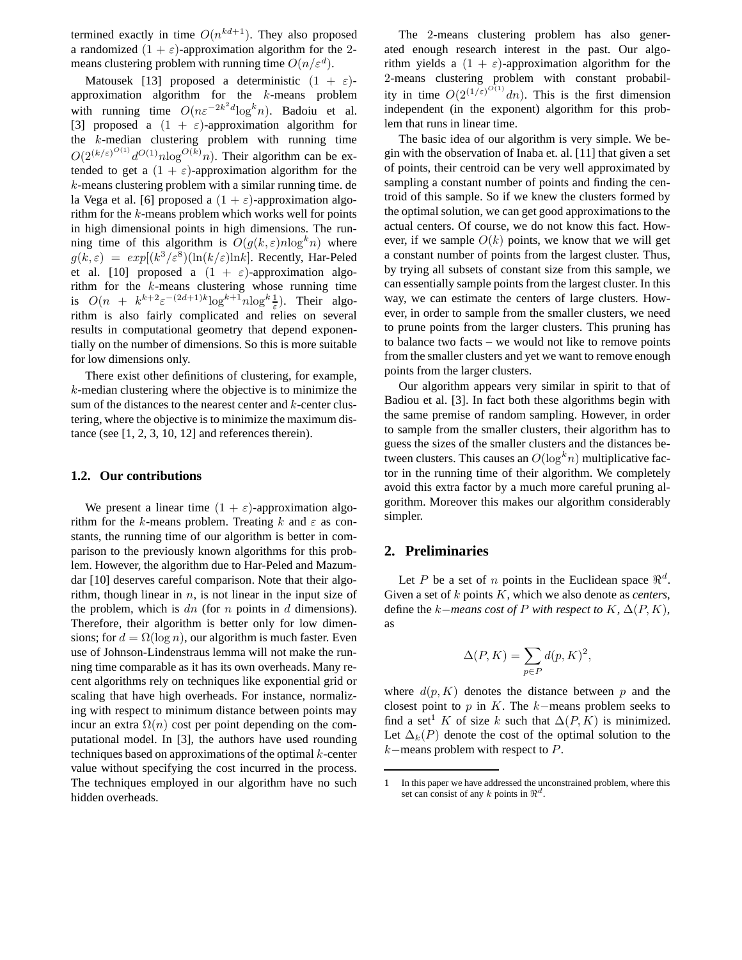termined exactly in time  $O(n^{kd+1})$ . They also proposed a randomized  $(1 + \varepsilon)$ -approximation algorithm for the 2means clustering problem with running time  $O(n/\varepsilon^d)$ .

Matousek [13] proposed a deterministic  $(1 + \varepsilon)$ approximation algorithm for the k-means problem with running time  $O(n\varepsilon^{-2k^2d}\log^kn)$ . Badoiu et al. [3] proposed a  $(1 + \varepsilon)$ -approximation algorithm for the k-median clustering problem with running time  $O(2^{(k/\varepsilon)^{O(1)}} d^{O(1)} n \log^{O(k)} n)$ . Their algorithm can be extended to get a  $(1 + \varepsilon)$ -approximation algorithm for the k-means clustering problem with a similar running time. de la Vega et al. [6] proposed a  $(1 + \varepsilon)$ -approximation algorithm for the k-means problem which works well for points in high dimensional points in high dimensions. The running time of this algorithm is  $O(g(k, \varepsilon) n \log^k n)$  where  $g(k,\varepsilon) = exp[(k^3/\varepsilon^8)(\ln(k/\varepsilon)\ln k]$ . Recently, Har-Peled et al. [10] proposed a  $(1 + \varepsilon)$ -approximation algorithm for the k-means clustering whose running time is  $O(n + k^{k+2} \varepsilon^{-(2d+1)k} \log^{k+1} n \log^k \frac{1}{\varepsilon})$ . Their algorithm is also fairly complicated and relies on several results in computational geometry that depend exponentially on the number of dimensions. So this is more suitable for low dimensions only.

There exist other definitions of clustering, for example, k-median clustering where the objective is to minimize the sum of the distances to the nearest center and k-center clustering, where the objective is to minimize the maximum distance (see  $[1, 2, 3, 10, 12]$  and references therein).

#### **1.2. Our contributions**

We present a linear time  $(1 + \varepsilon)$ -approximation algorithm for the k-means problem. Treating k and  $\varepsilon$  as constants, the running time of our algorithm is better in comparison to the previously known algorithms for this problem. However, the algorithm due to Har-Peled and Mazumdar [10] deserves careful comparison. Note that their algorithm, though linear in  $n$ , is not linear in the input size of the problem, which is  $dn$  (for n points in d dimensions). Therefore, their algorithm is better only for low dimensions; for  $d = \Omega(\log n)$ , our algorithm is much faster. Even use of Johnson-Lindenstraus lemma will not make the running time comparable as it has its own overheads. Many recent algorithms rely on techniques like exponential grid or scaling that have high overheads. For instance, normalizing with respect to minimum distance between points may incur an extra  $\Omega(n)$  cost per point depending on the computational model. In [3], the authors have used rounding techniques based on approximations of the optimal  $k$ -center value without specifying the cost incurred in the process. The techniques employed in our algorithm have no such hidden overheads.

The 2-means clustering problem has also generated enough research interest in the past. Our algorithm yields a  $(1 + \varepsilon)$ -approximation algorithm for the 2-means clustering problem with constant probability in time  $O(2^{(1/\varepsilon)^{O(1)}}dn)$ . This is the first dimension independent (in the exponent) algorithm for this problem that runs in linear time.

The basic idea of our algorithm is very simple. We begin with the observation of Inaba et. al. [11] that given a set of points, their centroid can be very well approximated by sampling a constant number of points and finding the centroid of this sample. So if we knew the clusters formed by the optimal solution, we can get good approximationsto the actual centers. Of course, we do not know this fact. However, if we sample  $O(k)$  points, we know that we will get a constant number of points from the largest cluster. Thus, by trying all subsets of constant size from this sample, we can essentially sample points from the largest cluster. In this way, we can estimate the centers of large clusters. However, in order to sample from the smaller clusters, we need to prune points from the larger clusters. This pruning has to balance two facts – we would not like to remove points from the smaller clusters and yet we want to remove enough points from the larger clusters.

Our algorithm appears very similar in spirit to that of Badiou et al. [3]. In fact both these algorithms begin with the same premise of random sampling. However, in order to sample from the smaller clusters, their algorithm has to guess the sizes of the smaller clusters and the distances between clusters. This causes an  $O(\log^k n)$  multiplicative factor in the running time of their algorithm. We completely avoid this extra factor by a much more careful pruning algorithm. Moreover this makes our algorithm considerably simpler.

# **2. Preliminaries**

Let P be a set of n points in the Euclidean space  $\mathbb{R}^d$ . Given a set of k points K, which we also denote as *centers*, define the  $k$ *-means* cost of P with respect to K,  $\Delta(P, K)$ , as

$$
\Delta(P, K) = \sum_{p \in P} d(p, K)^2,
$$

where  $d(p, K)$  denotes the distance between p and the closest point to  $p$  in K. The  $k$ −means problem seeks to find a set<sup>1</sup> K of size k such that  $\Delta(P, K)$  is minimized. Let  $\Delta_k(P)$  denote the cost of the optimal solution to the k−means problem with respect to P.

<sup>1</sup> In this paper we have addressed the unconstrained problem, where this set can consist of any k points in  $\mathbb{R}^d$ .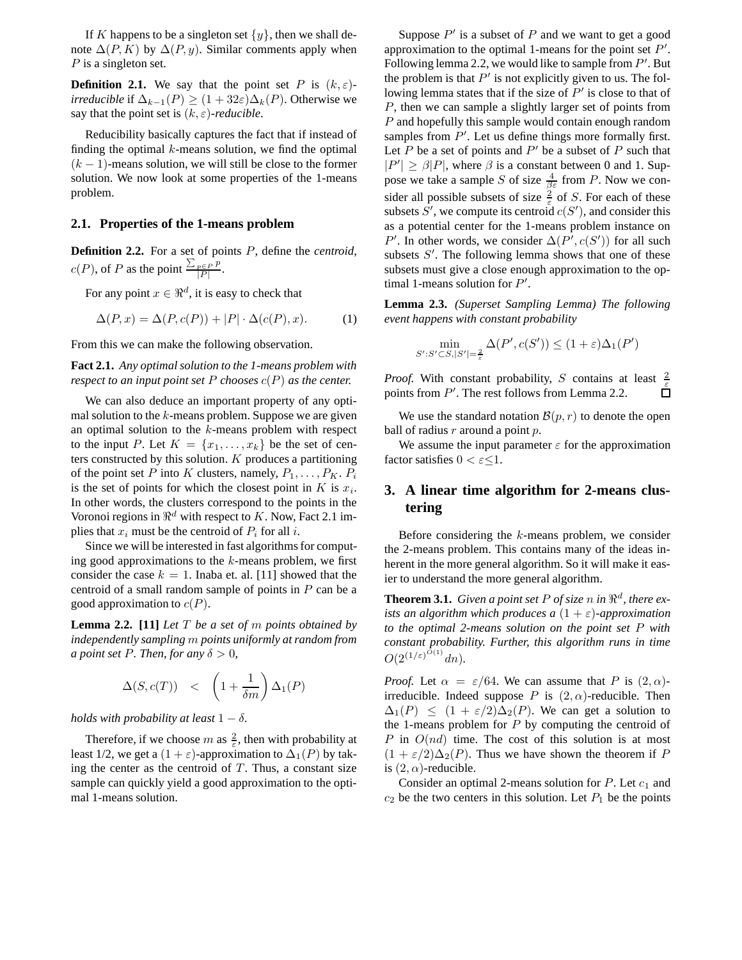If K happens to be a singleton set  $\{y\}$ , then we shall denote  $\Delta(P, K)$  by  $\Delta(P, y)$ . Similar comments apply when P is a singleton set.

**Definition 2.1.** We say that the point set P is  $(k, \varepsilon)$ *irreducible* if  $\Delta_{k-1}(P) \geq (1+32\varepsilon)\Delta_k(P)$ . Otherwise we say that the point set is  $(k, \varepsilon)$ -reducible.

Reducibility basically captures the fact that if instead of finding the optimal  $k$ -means solution, we find the optimal  $(k - 1)$ -means solution, we will still be close to the former solution. We now look at some properties of the 1-means problem.

### **2.1. Properties of the 1-means problem**

**Definition 2.2.** For a set of points P, define the *centroid*,  $c(P)$ , of P as the point  $\frac{\sum_{p \in P} p}{|P|}$  $\frac{p \in P P}{|P|}$ .

For any point  $x \in \mathbb{R}^d$ , it is easy to check that

$$
\Delta(P, x) = \Delta(P, c(P)) + |P| \cdot \Delta(c(P), x). \tag{1}
$$

From this we can make the following observation.

**Fact 2.1.** *Any optimal solution to the 1-means problem with respect to an input point set*  $P$  *chooses*  $c(P)$  *as the center.* 

We can also deduce an important property of any optimal solution to the  $k$ -means problem. Suppose we are given an optimal solution to the k-means problem with respect to the input P. Let  $K = \{x_1, \ldots, x_k\}$  be the set of centers constructed by this solution.  $K$  produces a partitioning of the point set P into K clusters, namely,  $P_1, \ldots, P_K$ .  $P_i$ is the set of points for which the closest point in  $K$  is  $x_i$ . In other words, the clusters correspond to the points in the Voronoi regions in  $\mathbb{R}^d$  with respect to K. Now, Fact 2.1 implies that  $x_i$  must be the centroid of  $P_i$  for all i.

Since we will be interested in fast algorithms for computing good approximations to the  $k$ -means problem, we first consider the case  $k = 1$ . Inaba et. al. [11] showed that the centroid of a small random sample of points in  $P$  can be a good approximation to  $c(P)$ .

**Lemma 2.2. [11]** *Let* T *be a set of* m *points obtained by independently sampling* m *points uniformly at random from a point set P. Then, for any*  $\delta > 0$ *,* 

$$
\Delta(S, c(T)) \quad < \quad \left(1 + \frac{1}{\delta m}\right) \Delta_1(P)
$$

*holds* with *probability at least*  $1 - \delta$ *.* 

Therefore, if we choose m as  $\frac{2}{\varepsilon}$ , then with probability at least 1/2, we get a  $(1 + \varepsilon)$ -approximation to  $\Delta_1(P)$  by taking the center as the centroid of  $T$ . Thus, a constant size sample can quickly yield a good approximation to the optimal 1-means solution.

Suppose  $P'$  is a subset of  $P$  and we want to get a good approximation to the optimal 1-means for the point set  $P'$ . Following lemma 2.2, we would like to sample from  $P'$ . But the problem is that  $P'$  is not explicitly given to us. The following lemma states that if the size of  $P'$  is close to that of P, then we can sample a slightly larger set of points from P and hopefully this sample would contain enough random samples from  $P'$ . Let us define things more formally first. Let  $P$  be a set of points and  $P'$  be a subset of  $P$  such that  $|P'| \ge \beta |P|$ , where  $\beta$  is a constant between 0 and 1. Suppose we take a sample *S* of size  $\frac{4}{\beta \varepsilon}$  from *P*. Now we consider all possible subsets of size  $\frac{2}{\varepsilon}$  of *S*. For each of these subsets S', we compute its centroid  $c(S')$ , and consider this as a potential center for the 1-means problem instance on P'. In other words, we consider  $\Delta(P', c(S'))$  for all such subsets  $S'$ . The following lemma shows that one of these subsets must give a close enough approximation to the optimal 1-means solution for  $P'$ .

**Lemma 2.3.** *(Superset Sampling Lemma) The following event happens with constant probability*

$$
\min_{S': S' \subset S, |S'| = \frac{2}{\varepsilon}} \Delta(P', c(S')) \le (1 + \varepsilon) \Delta_1(P')
$$

*Proof.* With constant probability, S contains at least  $\frac{2}{\varepsilon}$ points from  $P'$ . The rest follows from Lemma 2.2.

We use the standard notation  $\mathcal{B}(p,r)$  to denote the open ball of radius  $r$  around a point  $p$ .

We assume the input parameter  $\varepsilon$  for the approximation factor satisfies  $0 < \varepsilon \leq 1$ .

# **3. A linear time algorithm for 2-means clustering**

Before considering the  $k$ -means problem, we consider the 2-means problem. This contains many of the ideas inherent in the more general algorithm. So it will make it easier to understand the more general algorithm.

**Theorem 3.1.** *Given a point set*  $P$  *of size*  $n$  *in*  $\mathbb{R}^d$ *, there exists an algorithm which produces*  $a(1+\varepsilon)$ *-approximation to the optimal 2-means solution on the point set* P *with constant probability. Further, this algorithm runs in time*  $O(2^{(1/\varepsilon)^{O(1)}}dn)$ .

*Proof.* Let  $\alpha = \varepsilon/64$ . We can assume that P is  $(2, \alpha)$ irreducible. Indeed suppose P is  $(2, \alpha)$ -reducible. Then  $\Delta_1(P) \leq (1 + \varepsilon/2) \Delta_2(P)$ . We can get a solution to the 1-means problem for  $P$  by computing the centroid of P in  $O(nd)$  time. The cost of this solution is at most  $(1 + \varepsilon/2)\Delta_2(P)$ . Thus we have shown the theorem if P is  $(2, \alpha)$ -reducible.

Consider an optimal 2-means solution for P. Let  $c_1$  and  $c_2$  be the two centers in this solution. Let  $P_1$  be the points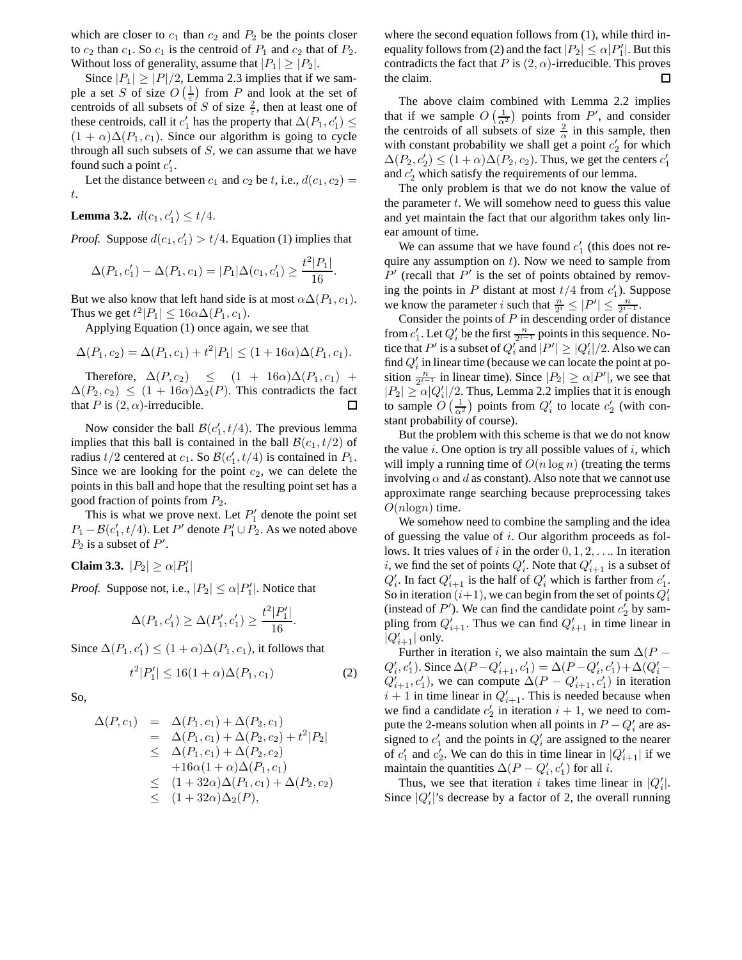which are closer to  $c_1$  than  $c_2$  and  $P_2$  be the points closer to  $c_2$  than  $c_1$ . So  $c_1$  is the centroid of  $P_1$  and  $c_2$  that of  $P_2$ . Without loss of generality, assume that  $|P_1| \geq |P_2|$ .

Since  $|P_1| \geq |P|/2$ , Lemma 2.3 implies that if we sample a set S of size  $O\left(\frac{1}{\varepsilon}\right)$  from P and look at the set of centroids of all subsets of S of size  $\frac{2}{\varepsilon}$ , then at least one of these centroids, call it  $c'_1$  has the property that  $\Delta(P_1, c'_1) \leq$  $(1 + \alpha)\Delta(P_1, c_1)$ . Since our algorithm is going to cycle through all such subsets of  $S$ , we can assume that we have found such a point  $c'_1$ .

Let the distance between  $c_1$  and  $c_2$  be t, i.e.,  $d(c_1, c_2) =$ t.

**Lemma 3.2.**  $d(c_1, c'_1) \le t/4$ .

*Proof.* Suppose  $d(c_1, c'_1) > t/4$ . Equation (1) implies that

$$
\Delta(P_1, c'_1) - \Delta(P_1, c_1) = |P_1| \Delta(c_1, c'_1) \ge \frac{t^2 |P_1|}{16}.
$$

But we also know that left hand side is at most  $\alpha\Delta(P_1, c_1)$ . Thus we get  $t^2|P_1| \leq 16\alpha\Delta(P_1, c_1)$ .

Applying Equation (1) once again, we see that

$$
\Delta(P_1, c_2) = \Delta(P_1, c_1) + t^2 |P_1| \le (1 + 16\alpha)\Delta(P_1, c_1).
$$

Therefore,  $\Delta(P, c_2) \leq (1 + 16\alpha)\Delta(P_1, c_1) +$  $\Delta(P_2, c_2) \leq (1 + 16\alpha)\Delta_2(P)$ . This contradicts the fact that P is  $(2, \alpha)$ -irreducible.  $\Box$ 

Now consider the ball  $\mathcal{B}(c'_1, t/4)$ . The previous lemma implies that this ball is contained in the ball  $\mathcal{B}(c_1,t/2)$  of radius  $t/2$  centered at  $c_1$ . So  $\mathcal{B}(c'_1, t/4)$  is contained in  $P_1$ . Since we are looking for the point  $c_2$ , we can delete the points in this ball and hope that the resulting point set has a good fraction of points from  $P_2$ .

This is what we prove next. Let  $P'_1$  denote the point set  $P_1 - B(c_1', t/4)$ . Let  $P'$  denote  $P'_1 \cup P_2$ . As we noted above  $P_2$  is a subset of  $P'$ .

**Claim 3.3.**  $|P_2| \ge \alpha |P'_1|$ 

*Proof.* Suppose not, i.e.,  $|P_2| \le \alpha |P'_1|$ . Notice that

$$
\Delta(P_1, c'_1) \ge \Delta(P'_1, c'_1) \ge \frac{t^2|P'_1|}{16}.
$$

Since  $\Delta(P_1, c_1') \leq (1 + \alpha) \Delta(P_1, c_1)$ , it follows that

$$
t^2|P_1'| \le 16(1+\alpha)\Delta(P_1, c_1) \tag{2}
$$

So,

$$
\Delta(P, c_1) = \Delta(P_1, c_1) + \Delta(P_2, c_1) \n= \Delta(P_1, c_1) + \Delta(P_2, c_2) + t^2 |P_2| \n\leq \Delta(P_1, c_1) + \Delta(P_2, c_2) \n+ 16\alpha(1 + \alpha)\Delta(P_1, c_1) \n\leq (1 + 32\alpha)\Delta(P_1, c_1) + \Delta(P_2, c_2) \n\leq (1 + 32\alpha)\Delta_2(P),
$$

where the second equation follows from (1), while third inequality follows from (2) and the fact  $|P_2| \le \alpha |P_1'|$ . But this contradicts the fact that P is  $(2, \alpha)$ -irreducible. This proves the claim. □

The above claim combined with Lemma 2.2 implies that if we sample  $O\left(\frac{1}{\alpha^2}\right)$  points from P', and consider the centroids of all subsets of size  $\frac{2}{\alpha}$  in this sample, then with constant probability we shall get a point  $c'_2$  for which  $\Delta(P_2, c'_2) \leq (1+\alpha)\Delta(P_2, c_2)$ . Thus, we get the centers  $c'_1$ and  $c_2'$  which satisfy the requirements of our lemma.

The only problem is that we do not know the value of the parameter  $t$ . We will somehow need to guess this value and yet maintain the fact that our algorithm takes only linear amount of time.

We can assume that we have found  $c'_1$  (this does not require any assumption on  $t$ ). Now we need to sample from  $P'$  (recall that  $P'$  is the set of points obtained by removing the points in P distant at most  $t/4$  from  $c'_1$ ). Suppose we know the parameter *i* such that  $\frac{n}{2^i} \leq |P'| \leq \frac{n}{2^{i-1}}$ .

Consider the points of  $P$  in descending order of distance from  $c'_1$ . Let  $Q'_i$  be the first  $\frac{n}{2^{i-1}}$  points in this sequence. Notice that  $P'$  is a subset of  $Q_i^{\tau}$  and  $|P'| \ge |Q_i'|/2$ . Also we can find  $Q_i'$  in linear time (because we can locate the point at position  $\frac{n}{2^{i-1}}$  in linear time). Since  $|P_2| \ge \alpha |P'|$ , we see that  $|P_2| \ge \alpha |Q_i'|/2$ . Thus, Lemma 2.2 implies that it is enough to sample  $O\left(\frac{1}{\alpha^2}\right)$  points from  $Q_i'$  to locate  $c_2'$  (with constant probability of course).

But the problem with this scheme is that we do not know the value  $i$ . One option is try all possible values of  $i$ , which will imply a running time of  $O(n \log n)$  (treating the terms involving  $\alpha$  and d as constant). Also note that we cannot use approximate range searching because preprocessing takes  $O(n \log n)$  time.

We somehow need to combine the sampling and the idea of guessing the value of  $i$ . Our algorithm proceeds as follows. It tries values of i in the order  $0, 1, 2, \ldots$  In iteration *i*, we find the set of points  $Q'_i$ . Note that  $Q'_{i+1}$  is a subset of  $Q'_i$ . In fact  $Q'_{i+1}$  is the half of  $Q'_i$  which is farther from  $c'_1$ . So in iteration  $(i+1)$ , we can begin from the set of points  $Q_i'$ (instead of  $P'$ ). We can find the candidate point  $c'_2$  by sampling from  $Q'_{i+1}$ . Thus we can find  $Q'_{i+1}$  in time linear in  $|Q'_{i+1}|$  only.

Further in iteration i, we also maintain the sum  $\Delta(P Q'_i, c'_1$ ). Since  $\Delta(P - Q'_{i+1}, c'_1) = \Delta(P - Q'_i, c'_1) + \Delta(Q'_i Q'_{i+1}, c'_{1}$ ), we can compute  $\Delta(P - Q'_{i+1}, c'_{1})$  in iteration  $i + 1$  in time linear in  $Q'_{i+1}$ . This is needed because when we find a candidate  $c'_2$  in iteration  $i + 1$ , we need to compute the 2-means solution when all points in  $P - Q'_i$  are assigned to  $c'_1$  and the points in  $Q'_i$  are assigned to the nearer of  $c'_1$  and  $c'_2$ . We can do this in time linear in  $|Q'_{i+1}|$  if we maintain the quantities  $\Delta(P - Q'_i, c'_1)$  for all *i*.

Thus, we see that iteration i takes time linear in  $|Q'_i|$ . Since  $|Q'_i|$ 's decrease by a factor of 2, the overall running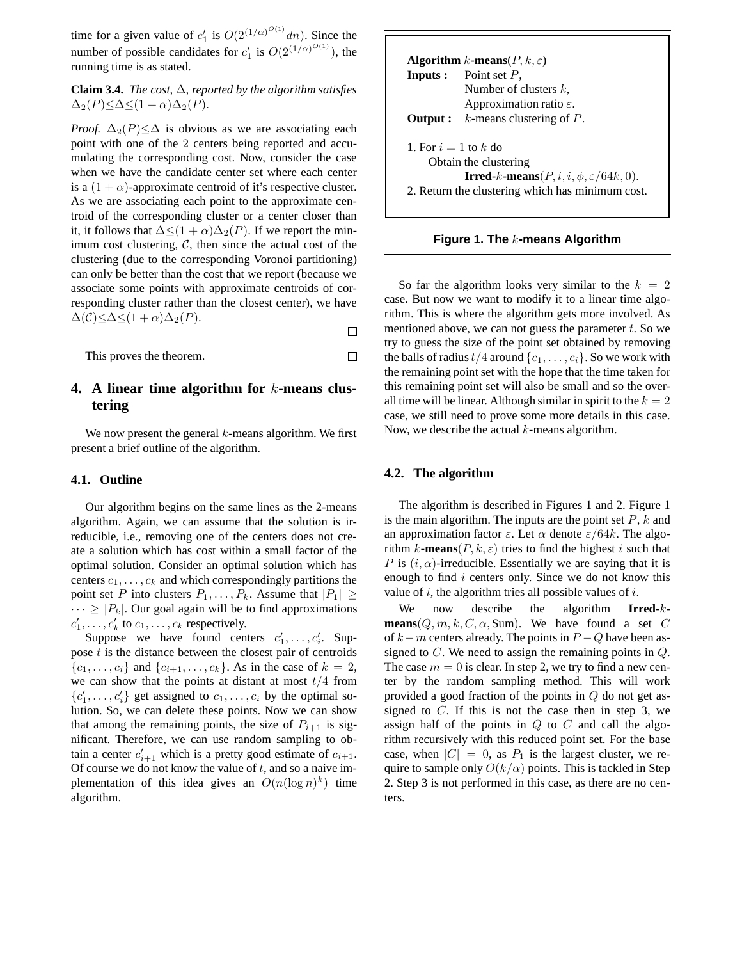time for a given value of  $c'_1$  is  $O(2^{(1/\alpha)^{O(1)}}dn)$ . Since the number of possible candidates for  $c'_1$  is  $O(2^{(1/\alpha)^{O(1)}})$ , the running time is as stated.

**Claim 3.4.** *The cost,* ∆*, reported by the algorithm satisfies*  $\Delta_2(P) \leq \Delta \leq (1+\alpha)\Delta_2(P).$ 

*Proof.*  $\Delta_2(P) \leq \Delta$  is obvious as we are associating each point with one of the 2 centers being reported and accumulating the corresponding cost. Now, consider the case when we have the candidate center set where each center is a  $(1 + \alpha)$ -approximate centroid of it's respective cluster. As we are associating each point to the approximate centroid of the corresponding cluster or a center closer than it, it follows that  $\Delta \leq (1 + \alpha) \Delta_2(P)$ . If we report the minimum cost clustering,  $C$ , then since the actual cost of the clustering (due to the corresponding Voronoi partitioning) can only be better than the cost that we report (because we associate some points with approximate centroids of corresponding cluster rather than the closest center), we have  $\Delta(\mathcal{C}) \leq \Delta \leq (1+\alpha)\Delta_2(P).$ 

This proves the theorem.

# **4. A linear time algorithm for** k**-means clustering**

We now present the general  $k$ -means algorithm. We first present a brief outline of the algorithm.

# **4.1. Outline**

Our algorithm begins on the same lines as the 2-means algorithm. Again, we can assume that the solution is irreducible, i.e., removing one of the centers does not create a solution which has cost within a small factor of the optimal solution. Consider an optimal solution which has centers  $c_1, \ldots, c_k$  and which correspondingly partitions the point set P into clusters  $P_1, \ldots, P_k$ . Assume that  $|P_1| \geq$  $\cdots \geq |P_k|$ . Our goal again will be to find approximations  $c'_1, \ldots, c'_k$  to  $c_1, \ldots, c_k$  respectively.

Suppose we have found centers  $c'_1, \ldots, c'_i$ . Suppose  $t$  is the distance between the closest pair of centroids  $\{c_1, \ldots, c_i\}$  and  $\{c_{i+1}, \ldots, c_k\}$ . As in the case of  $k = 2$ , we can show that the points at distant at most  $t/4$  from  $\{c'_1, \ldots, c'_i\}$  get assigned to  $c_1, \ldots, c_i$  by the optimal solution. So, we can delete these points. Now we can show that among the remaining points, the size of  $P_{i+1}$  is significant. Therefore, we can use random sampling to obtain a center  $c'_{i+1}$  which is a pretty good estimate of  $c_{i+1}$ . Of course we do not know the value of  $t$ , and so a naive implementation of this idea gives an  $O(n(\log n)^k)$  time algorithm.

**Algorithm** k-means( $P, k, \varepsilon$ ) **Inputs :** Point set P, Number of clusters  $k$ , Approximation ratio  $\varepsilon$ . **Output :** *k*-means clustering of *P*. 1. For  $i = 1$  to  $k$  do Obtain the clustering **Irred-k-means** $(P, i, i, \phi, \varepsilon/64k, 0)$ . 2. Return the clustering which has minimum cost.



So far the algorithm looks very similar to the  $k = 2$ case. But now we want to modify it to a linear time algorithm. This is where the algorithm gets more involved. As mentioned above, we can not guess the parameter  $t$ . So we try to guess the size of the point set obtained by removing the balls of radius  $t/4$  around  $\{c_1, \ldots, c_i\}$ . So we work with the remaining point set with the hope that the time taken for this remaining point set will also be small and so the overall time will be linear. Although similar in spirit to the  $k = 2$ case, we still need to prove some more details in this case. Now, we describe the actual  $k$ -means algorithm.

### **4.2. The algorithm**

□  $\Box$ 

> The algorithm is described in Figures 1 and 2. Figure 1 is the main algorithm. The inputs are the point set  $P$ ,  $k$  and an approximation factor  $\varepsilon$ . Let  $\alpha$  denote  $\varepsilon/64k$ . The algorithm k-means $(P, k, \varepsilon)$  tries to find the highest i such that P is  $(i, \alpha)$ -irreducible. Essentially we are saying that it is enough to find  $i$  centers only. Since we do not know this value of  $i$ , the algorithm tries all possible values of  $i$ .

> We now describe the algorithm **Irred-**k**means** $(Q, m, k, C, \alpha, \text{Sum})$ . We have found a set C of  $k-m$  centers already. The points in  $P-Q$  have been assigned to  $C$ . We need to assign the remaining points in  $Q$ . The case  $m = 0$  is clear. In step 2, we try to find a new center by the random sampling method. This will work provided a good fraction of the points in Q do not get assigned to  $C$ . If this is not the case then in step 3, we assign half of the points in  $Q$  to  $C$  and call the algorithm recursively with this reduced point set. For the base case, when  $|C| = 0$ , as  $P_1$  is the largest cluster, we require to sample only  $O(k/\alpha)$  points. This is tackled in Step 2. Step 3 is not performed in this case, as there are no centers.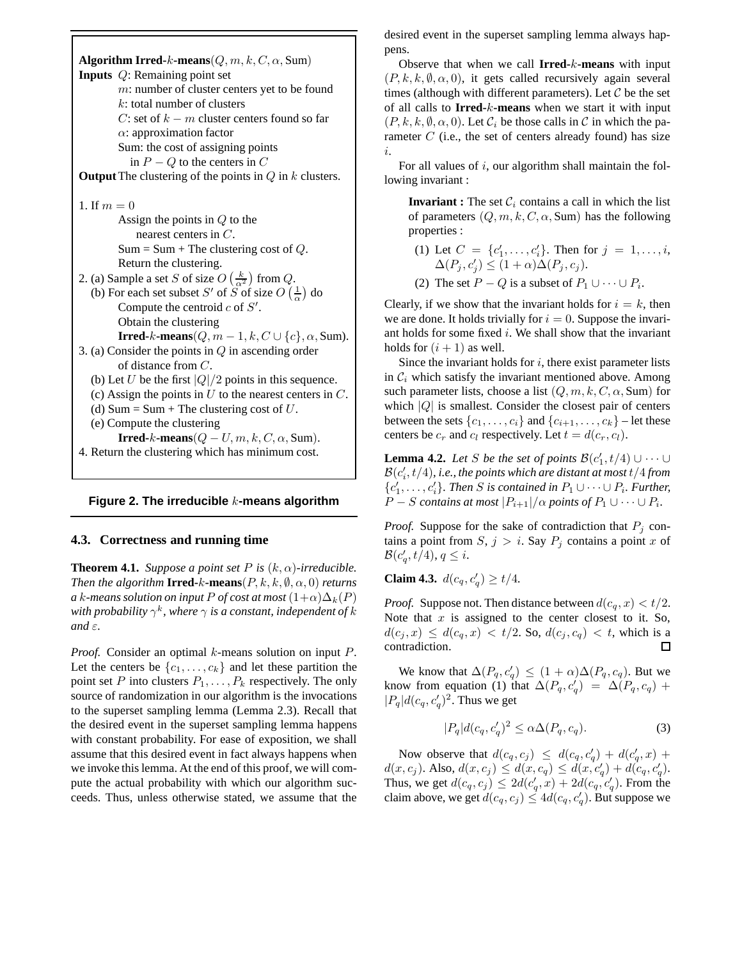**Algorithm Irred-** $k$ -means $(Q, m, k, C, \alpha, \text{Sum})$ **Inputs** Q: Remaining point set m: number of cluster centers yet to be found k: total number of clusters C: set of  $k - m$  cluster centers found so far  $\alpha$ : approximation factor Sum: the cost of assigning points in  $P - Q$  to the centers in C **Output** The clustering of the points in Q in k clusters. 1. If  $m = 0$ Assign the points in Q to the nearest centers in C.  $Sum = Sum + The clustering cost of Q.$ Return the clustering. 2. (a) Sample a set S of size  $O\left(\frac{k}{\alpha^2}\right)$  from  $Q$ . (b) For each set subset S' of S of size  $O\left(\frac{1}{\alpha}\right)$  do Compute the centroid  $c$  of  $S'$ . Obtain the clustering **Irred-k-means** $(Q, m-1, k, C \cup \{c\}, \alpha, \text{Sum}).$ 3. (a) Consider the points in  $Q$  in ascending order of distance from C. (b) Let U be the first  $|Q|/2$  points in this sequence. (c) Assign the points in  $U$  to the nearest centers in  $C$ . (d) Sum = Sum + The clustering cost of U. (e) Compute the clustering **Irred-** $k$ **-means** $(Q - U, m, k, C, \alpha, \text{Sum})$ . 4. Return the clustering which has minimum cost.

#### **Figure 2. The irreducible** k**-means algorithm**

#### **4.3. Correctness and running time**

**Theorem 4.1.** *Suppose a point set*  $P$  *is*  $(k, \alpha)$ *-irreducible. Then the algorithm* **Irred-** $k$ **-means** $(P, k, k, \emptyset, \alpha, 0)$  *returns a* k-means solution on input P of cost at most  $(1+\alpha)\Delta_k(P)$ with probability  $\gamma^k$ , where  $\gamma$  is a constant, independent of  $k$ *and*  $\varepsilon$ *.* 

*Proof.* Consider an optimal k-means solution on input P. Let the centers be  $\{c_1, \ldots, c_k\}$  and let these partition the point set P into clusters  $P_1, \ldots, P_k$  respectively. The only source of randomization in our algorithm is the invocations to the superset sampling lemma (Lemma 2.3). Recall that the desired event in the superset sampling lemma happens with constant probability. For ease of exposition, we shall assume that this desired event in fact always happens when we invoke this lemma. At the end of this proof, we will compute the actual probability with which our algorithm succeeds. Thus, unless otherwise stated, we assume that the

desired event in the superset sampling lemma always happens.

Observe that when we call **Irred-**k**-means** with input  $(P, k, k, \emptyset, \alpha, 0)$ , it gets called recursively again several times (although with different parameters). Let  $C$  be the set of all calls to **Irred-**k**-means** when we start it with input  $(P, k, k, \emptyset, \alpha, 0)$ . Let  $C_i$  be those calls in C in which the parameter  $C$  (i.e., the set of centers already found) has size i.

For all values of  $i$ , our algorithm shall maintain the following invariant :

**Invariant :** The set  $C_i$  contains a call in which the list of parameters  $(Q, m, k, C, \alpha, Sum)$  has the following properties :

- (1) Let  $C = \{c'_1, \ldots, c'_i\}$ . Then for  $j = 1, \ldots, i$ ,  $\Delta(P_j, c'_j) \leq (1+\alpha)\Delta(P_j, c_j).$
- (2) The set  $P Q$  is a subset of  $P_1 \cup \cdots \cup P_i$ .

Clearly, if we show that the invariant holds for  $i = k$ , then we are done. It holds trivially for  $i = 0$ . Suppose the invariant holds for some fixed  $i$ . We shall show that the invariant holds for  $(i + 1)$  as well.

Since the invariant holds for  $i$ , there exist parameter lists in  $C_i$  which satisfy the invariant mentioned above. Among such parameter lists, choose a list  $(Q, m, k, C, \alpha, Sum)$  for which  $|Q|$  is smallest. Consider the closest pair of centers between the sets  $\{c_1, \ldots, c_i\}$  and  $\{c_{i+1}, \ldots, c_k\}$  – let these centers be  $c_r$  and  $c_l$  respectively. Let  $t = d(c_r, c_l)$ .

**Lemma 4.2.** *Let S be the set of points*  $\mathcal{B}(c'_1, t/4) \cup \cdots \cup$  $\mathcal{B}(c'_i,t/4)$ , i.e., the points which are distant at most  $t/4$  from  ${c'_1, \ldots, c'_i}$ . *Then S is contained in*  $P_1 \cup \cdots \cup P_i$ . *Further,*  $P-S$  contains at most  $|P_{i+1}|/\alpha$  points of  $P_1\cup\cdots\cup P_i.$ 

*Proof.* Suppose for the sake of contradiction that  $P_i$  contains a point from  $S, j > i$ . Say  $P_j$  contains a point x of  $\mathcal{B}(c'_q,t/4), q \leq i.$ 

**Claim 4.3.**  $d(c_q, c'_q) \ge t/4$ .

*Proof.* Suppose not. Then distance between  $d(c_q, x) < t/2$ . Note that  $x$  is assigned to the center closest to it. So,  $d(c_j, x) \leq d(c_q, x) < t/2$ . So,  $d(c_j, c_q) < t$ , which is a contradiction. П

We know that  $\Delta(P_q, c'_q) \leq (1 + \alpha) \Delta(P_q, c_q)$ . But we know from equation (1) that  $\Delta(P_q, c'_q) = \Delta(P_q, c_q) +$  $|P_q|d(c_q, c'_q)^2$ . Thus we get

$$
|P_q|d(c_q, c'_q)^2 \le \alpha \Delta(P_q, c_q). \tag{3}
$$

Now observe that  $d(c_q, c_j) \leq d(c_q, c'_q) + d(c'_q, x) +$  $d(x, c_j)$ . Also,  $d(x, c_j) \leq d(x, c_q) \leq d(x, c'_q) + d(c_q, c'_q)$ . Thus, we get  $d(c_q, c_j) \le 2d(c'_q, x) + 2d(c_q, c'_q)$ . From the claim above, we get  $d(c_q, c_j) \leq 4d(c_q, c'_q)$ . But suppose we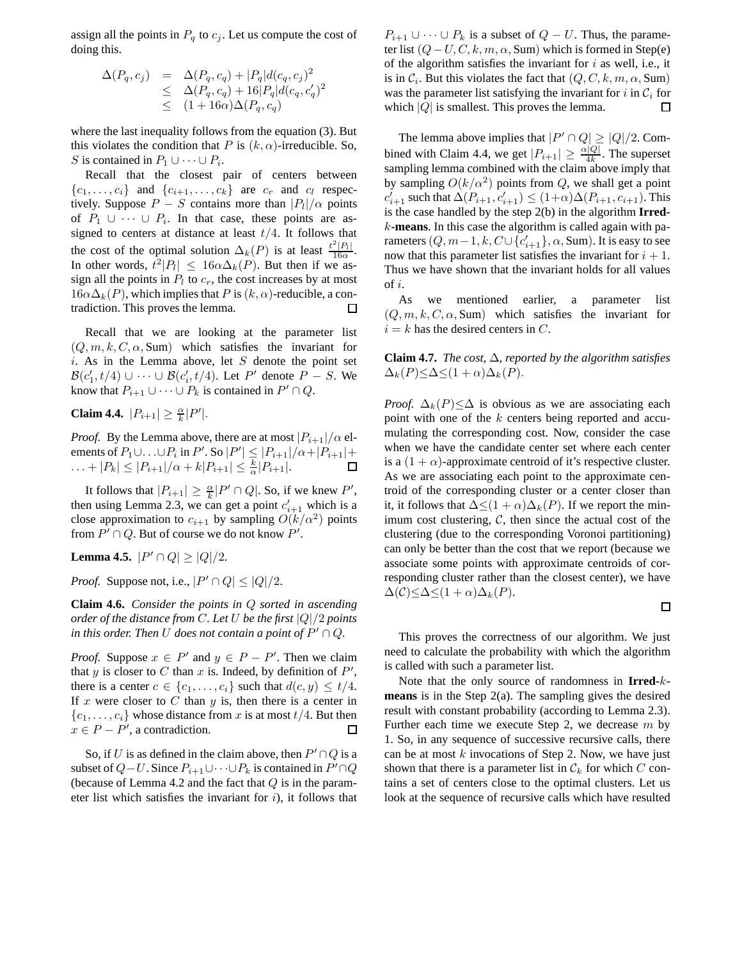assign all the points in  $P_q$  to  $c_j$ . Let us compute the cost of doing this.

$$
\Delta(P_q, c_j) = \Delta(P_q, c_q) + |P_q|d(c_q, c_j)^2 \leq \Delta(P_q, c_q) + 16|P_q|d(c_q, c'_q)^2 \leq (1 + 16\alpha)\Delta(P_q, c_q)
$$

where the last inequality follows from the equation (3). But this violates the condition that P is  $(k, \alpha)$ -irreducible. So, S is contained in  $P_1 \cup \cdots \cup P_i$ .

Recall that the closest pair of centers between  $\{c_1, \ldots, c_i\}$  and  $\{c_{i+1}, \ldots, c_k\}$  are  $c_r$  and  $c_l$  respectively. Suppose  $P-S$  contains more than  $|P_l|/\alpha$  points of  $P_1 \cup \cdots \cup P_i$ . In that case, these points are assigned to centers at distance at least  $t/4$ . It follows that the cost of the optimal solution  $\Delta_k(P)$  is at least  $\frac{t^2|P_1|}{16\alpha}$ . In other words,  $t^2|P_l| \leq 16\alpha \Delta_k(P)$ . But then if we assign all the points in  $P_l$  to  $c_r$ , the cost increases by at most  $16\alpha\Delta_k(P)$ , which implies that P is  $(k, \alpha)$ -reducible, a contradiction. This proves the lemma. □

Recall that we are looking at the parameter list  $(Q, m, k, C, \alpha, Sum)$  which satisfies the invariant for i. As in the Lemma above, let  $S$  denote the point set  $\mathcal{B}(c'_1,t/4) \cup \cdots \cup \mathcal{B}(c'_i,t/4)$ . Let  $P'$  denote  $P-S$ . We know that  $P_{i+1} \cup \cdots \cup P_k$  is contained in  $P' \cap Q$ .

**Claim 4.4.**  $|P_{i+1}| \geq \frac{\alpha}{k} |P'|$ .

*Proof.* By the Lemma above, there are at most  $|P_{i+1}|/\alpha$  elements of  $P_1 \cup ... \cup P_i$  in  $P'$ . So  $|P'| \leq |P_{i+1}| / \alpha + |P_{i+1}| +$ ... +  $|P_k| \leq |P_{i+1}|/\alpha + k|P_{i+1}| \leq \frac{k}{\alpha}|P_{i+1}|.$  $\Box$ 

It follows that  $|P_{i+1}| \geq \frac{\alpha}{k} |P' \cap Q|$ . So, if we knew P', then using Lemma 2.3, we can get a point  $c'_{i+1}$  which is a close approximation to  $c_{i+1}$  by sampling  $O(k/\alpha^2)$  points from  $P' \cap Q$ . But of course we do not know  $P'$ .

**Lemma 4.5.**  $|P' \cap Q| \geq |Q|/2$ .

*Proof.* Suppose not, i.e.,  $|P' \cap Q| \leq |Q|/2$ .

**Claim 4.6.** *Consider the points in* Q *sorted in ascending order of the distance from* C*. Let* U *be the first* |Q|/2 *points in this order. Then*  $U$  *does not contain a point of*  $P' \cap Q$ *.* 

*Proof.* Suppose  $x \in P'$  and  $y \in P - P'$ . Then we claim that y is closer to C than x is. Indeed, by definition of  $P'$ , there is a center  $c \in \{c_1, \ldots, c_i\}$  such that  $d(c, y) \leq t/4$ . If x were closer to  $C$  than  $y$  is, then there is a center in  ${c_1, \ldots, c_i}$  whose distance from x is at most  $t/4$ . But then  $x \in P - P'$ , a contradiction. □

So, if U is as defined in the claim above, then  $P' \cap Q$  is a subset of  $Q-U$ . Since  $P_{i+1} \cup \cdots \cup P_k$  is contained in  $P' \cap Q$ (because of Lemma 4.2 and the fact that  $Q$  is in the parameter list which satisfies the invariant for  $i$ ), it follows that

 $P_{i+1} \cup \cdots \cup P_k$  is a subset of  $Q - U$ . Thus, the parameter list  $(Q-U, C, k, m, \alpha,$  Sum) which is formed in Step(e) of the algorithm satisfies the invariant for  $i$  as well, i.e., it is in  $C_i$ . But this violates the fact that  $(Q, C, k, m, \alpha, Sum)$ was the parameter list satisfying the invariant for  $i$  in  $C_i$  for which  $|Q|$  is smallest. This proves the lemma.  $\Box$ 

The lemma above implies that  $|P' \cap Q| \geq |Q|/2$ . Combined with Claim 4.4, we get  $|P_{i+1}| \geq \frac{\alpha |Q|}{4k}$  $\frac{4|Q|}{4k}$ . The superset sampling lemma combined with the claim above imply that by sampling  $O(k/\alpha^2)$  points from Q, we shall get a point  $c'_{i+1}$  such that  $\Delta(P_{i+1}, c'_{i+1}) \leq (1+\alpha)\Delta(P_{i+1}, c_{i+1})$ . This is the case handled by the step 2(b) in the algorithm **Irred**k**-means**. In this case the algorithm is called again with parameters  $(Q, m-1, k, C \cup \{c_{i+1}'\}, \alpha, \text{Sum})$ . It is easy to see now that this parameter list satisfies the invariant for  $i + 1$ . Thus we have shown that the invariant holds for all values of i.

As we mentioned earlier, a parameter list  $(Q, m, k, C, \alpha, Sum)$  which satisfies the invariant for  $i = k$  has the desired centers in C.

**Claim 4.7.** *The cost,* ∆*, reported by the algorithm satisfies*  $\Delta_k(P) \leq \Delta \leq (1+\alpha)\Delta_k(P).$ 

*Proof.*  $\Delta_k(P) \leq \Delta$  is obvious as we are associating each point with one of the k centers being reported and accumulating the corresponding cost. Now, consider the case when we have the candidate center set where each center is a  $(1 + \alpha)$ -approximate centroid of it's respective cluster. As we are associating each point to the approximate centroid of the corresponding cluster or a center closer than it, it follows that  $\Delta \leq (1 + \alpha) \Delta_k(P)$ . If we report the minimum cost clustering,  $C$ , then since the actual cost of the clustering (due to the corresponding Voronoi partitioning) can only be better than the cost that we report (because we associate some points with approximate centroids of corresponding cluster rather than the closest center), we have  $\Delta(\mathcal{C}) \leq \Delta \leq (1+\alpha)\Delta_k(P).$ 

This proves the correctness of our algorithm. We just need to calculate the probability with which the algorithm is called with such a parameter list.

Note that the only source of randomness in **Irred-**k**means** is in the Step 2(a). The sampling gives the desired result with constant probability (according to Lemma 2.3). Further each time we execute Step 2, we decrease  $m$  by 1. So, in any sequence of successive recursive calls, there can be at most  $k$  invocations of Step 2. Now, we have just shown that there is a parameter list in  $\mathcal{C}_k$  for which C contains a set of centers close to the optimal clusters. Let us look at the sequence of recursive calls which have resulted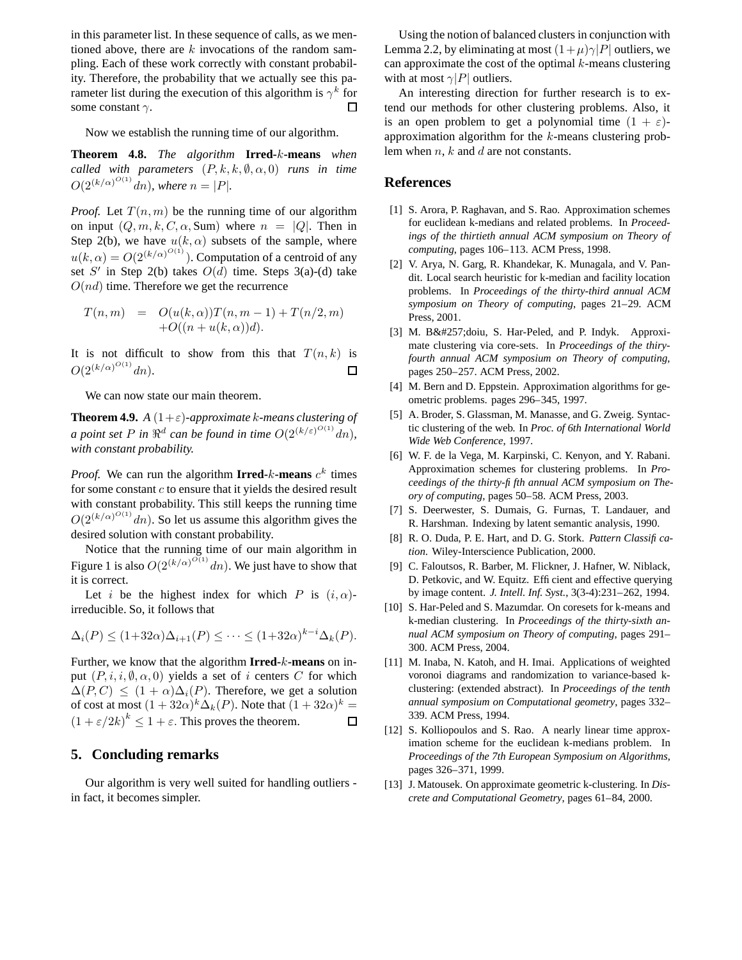in this parameter list. In these sequence of calls, as we mentioned above, there are  $k$  invocations of the random sampling. Each of these work correctly with constant probability. Therefore, the probability that we actually see this parameter list during the execution of this algorithm is  $\gamma^k$  for some constant  $\gamma$ . 口

Now we establish the running time of our algorithm.

**Theorem 4.8.** *The algorithm* **Irred-**k**-means** *when called with parameters*  $(P, k, k, \emptyset, \alpha, 0)$  *runs in time*  $O(2^{(k/\alpha)^{O(1)}}dn)$ , where  $n = |P|$ .

*Proof.* Let  $T(n, m)$  be the running time of our algorithm on input  $(Q, m, k, C, \alpha, Sum)$  where  $n = |Q|$ . Then in Step 2(b), we have  $u(k, \alpha)$  subsets of the sample, where  $u(k, \alpha) = O(2^{(k/\alpha)^{O(1)}})$ . Computation of a centroid of any set  $S'$  in Step 2(b) takes  $O(d)$  time. Steps 3(a)-(d) take  $O(nd)$  time. Therefore we get the recurrence

$$
T(n,m) = O(u(k, \alpha))T(n, m-1) + T(n/2, m) + O((n+u(k, \alpha))d).
$$

It is not difficult to show from this that  $T(n, k)$  is  $O(2^{(k/\alpha)^{O(1)}}dn).$  $\Box$ 

We can now state our main theorem.

**Theorem 4.9.** *A*  $(1+\varepsilon)$ *-approximate k-means clustering of a* point set P in  $\mathbb{R}^d$  can be found in time  $O(2^{(k/\varepsilon)^{O(1)}}dn)$ , *with constant probability.*

*Proof.* We can run the algorithm **Irred-** $k$ -means  $c^k$  times for some constant  $c$  to ensure that it yields the desired result with constant probability. This still keeps the running time  $O(2^{(k/\alpha)^{O(1)}}dn)$ . So let us assume this algorithm gives the desired solution with constant probability.

Notice that the running time of our main algorithm in Figure 1 is also  $O(2^{(k/\alpha)^{O(1)}}dn)$ . We just have to show that it is correct.

Let i be the highest index for which P is  $(i, \alpha)$ irreducible. So, it follows that

$$
\Delta_i(P) \le (1+32\alpha)\Delta_{i+1}(P) \le \cdots \le (1+32\alpha)^{k-i}\Delta_k(P).
$$

Further, we know that the algorithm **Irred-**k**-means** on input  $(P, i, i, \emptyset, \alpha, 0)$  yields a set of i centers C for which  $\Delta(P, C) \leq (1 + \alpha) \Delta_i(P)$ . Therefore, we get a solution of cost at most  $(1+32\alpha)^k \Delta_k(P)$ . Note that  $(1+32\alpha)^k =$  $(1 + \varepsilon/2k)^k \le 1 + \varepsilon$ . This proves the theorem.  $\Box$ 

# **5. Concluding remarks**

Our algorithm is very well suited for handling outliers in fact, it becomes simpler.

Using the notion of balanced clusters in conjunction with Lemma 2.2, by eliminating at most  $(1+\mu)\gamma|P|$  outliers, we can approximate the cost of the optimal  $k$ -means clustering with at most  $\gamma$ |P| outliers.

An interesting direction for further research is to extend our methods for other clustering problems. Also, it is an open problem to get a polynomial time  $(1 + \varepsilon)$ approximation algorithm for the k-means clustering problem when  $n, k$  and  $d$  are not constants.

### **References**

- [1] S. Arora, P. Raghavan, and S. Rao. Approximation schemes for euclidean k-medians and related problems. In *Proceedings of the thirtieth annual ACM symposium on Theory of computing*, pages 106–113. ACM Press, 1998.
- [2] V. Arya, N. Garg, R. Khandekar, K. Munagala, and V. Pandit. Local search heuristic for k-median and facility location problems. In *Proceedings of the thirty-third annual ACM symposium on Theory of computing*, pages 21–29. ACM Press, 2001.
- [3] M. Bādoiu, S. Har-Peled, and P. Indyk. Approximate clustering via core-sets. In *Proceedings of the thiryfourth annual ACM symposium on Theory of computing*, pages 250–257. ACM Press, 2002.
- [4] M. Bern and D. Eppstein. Approximation algorithms for geometric problems. pages 296–345, 1997.
- [5] A. Broder, S. Glassman, M. Manasse, and G. Zweig. Syntactic clustering of the web. In *Proc. of 6th International World Wide Web Conference*, 1997.
- [6] W. F. de la Vega, M. Karpinski, C. Kenyon, and Y. Rabani. Approximation schemes for clustering problems. In *Proceedings of the thirty-fifth annual ACM symposium on Theory of computing*, pages 50–58. ACM Press, 2003.
- [7] S. Deerwester, S. Dumais, G. Furnas, T. Landauer, and R. Harshman. Indexing by latent semantic analysis, 1990.
- [8] R. O. Duda, P. E. Hart, and D. G. Stork. *Pattern Classification*. Wiley-Interscience Publication, 2000.
- [9] C. Faloutsos, R. Barber, M. Flickner, J. Hafner, W. Niblack, D. Petkovic, and W. Equitz. Efficient and effective querying by image content. *J. Intell. Inf. Syst.*, 3(3-4):231–262, 1994.
- [10] S. Har-Peled and S. Mazumdar. On coresets for k-means and k-median clustering. In *Proceedings of the thirty-sixth annual ACM symposium on Theory of computing*, pages 291– 300. ACM Press, 2004.
- [11] M. Inaba, N. Katoh, and H. Imai. Applications of weighted voronoi diagrams and randomization to variance-based kclustering: (extended abstract). In *Proceedings of the tenth annual symposium on Computational geometry*, pages 332– 339. ACM Press, 1994.
- [12] S. Kolliopoulos and S. Rao. A nearly linear time approximation scheme for the euclidean k-medians problem. In *Proceedings of the 7th European Symposium on Algorithms*, pages 326–371, 1999.
- [13] J. Matousek. On approximate geometric k-clustering. In *Discrete and Computational Geometry*, pages 61–84, 2000.